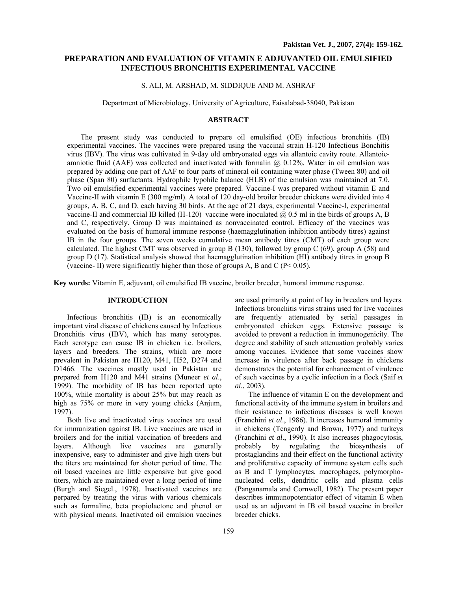# **PREPARATION AND EVALUATION OF VITAMIN E ADJUVANTED OIL EMULSIFIED INFECTIOUS BRONCHITIS EXPERIMENTAL VACCINE**

# S. ALI, M. ARSHAD, M. SIDDIQUE AND M. ASHRAF

Department of Microbiology, University of Agriculture, Faisalabad-38040, Pakistan

### **ABSTRACT**

The present study was conducted to prepare oil emulsified (OE) infectious bronchitis (IB) experimental vaccines. The vaccines were prepared using the vaccinal strain H-120 Infectious Bonchitis virus (IBV). The virus was cultivated in 9-day old embryonated eggs via allantoic cavity route. Allantoicamniotic fluid (AAF) was collected and inactivated with formalin  $(a)$  0.12%. Water in oil emulsion was prepared by adding one part of AAF to four parts of mineral oil containing water phase (Tween 80) and oil phase (Span 80) surfactants. Hydrophile lypohile balance (HLB) of the emulsion was maintained at 7.0. Two oil emulsified experimental vaccines were prepared. Vaccine-I was prepared without vitamin E and Vaccine-II with vitamin E (300 mg/ml). A total of 120 day-old broiler breeder chickens were divided into 4 groups, A, B, C, and D, each having 30 birds. At the age of 21 days, experimental Vaccine-I, experimental vaccine-II and commercial IB killed (H-120) vaccine were inoculated  $\hat{\omega}$  0.5 ml in the birds of groups A, B and C, respectively. Group D was maintained as nonvaccinated control. Efficacy of the vaccines was evaluated on the basis of humoral immune response (haemagglutination inhibition antibody titres) against IB in the four groups. The seven weeks cumulative mean antibody titres (CMT) of each group were calculated. The highest CMT was observed in group B (130), followed by group C (69), group A (58) and group D (17). Statistical analysis showed that haemagglutination inhibition (HI) antibody titres in group B (vaccine- II) were significantly higher than those of groups A, B and C ( $P < 0.05$ ).

**Key words:** Vitamin E, adjuvant, oil emulsified IB vaccine, broiler breeder, humoral immune response.

# **INTRODUCTION**

Infectious bronchitis (IB) is an economically important viral disease of chickens caused by Infectious Bronchitis virus (IBV), which has many serotypes. Each serotype can cause IB in chicken i.e. broilers, layers and breeders. The strains, which are more prevalent in Pakistan are H120, M41, H52, D274 and D1466. The vaccines mostly used in Pakistan are prepared from H120 and M41 strains (Muneer *et al*., 1999). The morbidity of IB has been reported upto 100%, while mortality is about 25% but may reach as high as 75% or more in very young chicks (Anjum, 1997).

Both live and inactivated virus vaccines are used for immunization against IB. Live vaccines are used in broilers and for the initial vaccination of breeders and layers. Although live vaccines are generally inexpensive, easy to administer and give high titers but the titers are maintained for shoter period of time. The oil based vaccines are little expensive but give good titers, which are maintained over a long period of time (Burgh and Siegel., 1978). Inactivated vaccines are perpared by treating the virus with various chemicals such as formaline, beta propiolactone and phenol or with physical means. Inactivated oil emulsion vaccines

are used primarily at point of lay in breeders and layers. Infectious bronchitis virus strains used for live vaccines are frequently attenuated by serial passages in embryonated chicken eggs. Extensive passage is avoided to prevent a reduction in immunogenicity. The degree and stability of such attenuation probably varies among vaccines. Evidence that some vaccines show increase in virulence after back passage in chickens demonstrates the potential for enhancement of virulence of such vaccines by a cyclic infection in a flock (Saif *et al*., 2003).

The influence of vitamin E on the development and functional activity of the immune system in broilers and their resistance to infectious diseases is well known (Franchini *et al*., 1986). It increases humoral immunity in chickens (Tengerdy and Brown, 1977) and turkeys (Franchini *et al*., 1990). It also increases phagocytosis, probably by regulating the biosynthesis of prostaglandins and their effect on the functional activity and proliferative capacity of immune system cells such as B and T lymphocytes, macrophages, polymorphonucleated cells, dendritic cells and plasma cells (Panganamala and Cornwell, 1982). The present paper describes immunopotentiator effect of vitamin E when used as an adjuvant in IB oil based vaccine in broiler breeder chicks.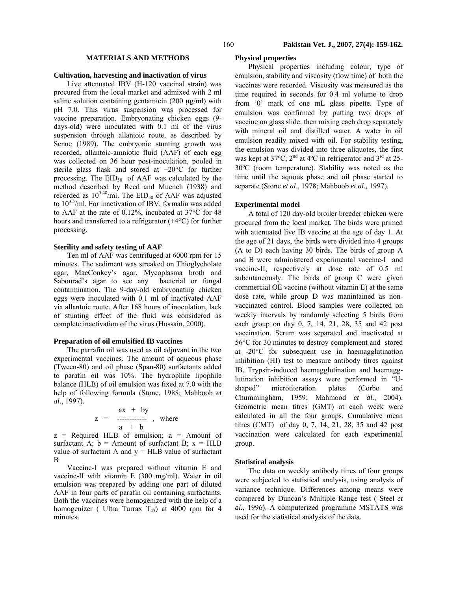# **MATERIALS AND METHODS**

### **Cultivation, harvesting and inactivation of virus**

Live attenuated IBV (H-120 vaccinal strain) was procured from the local market and admixed with 2 ml saline solution containing gentamicin  $(200 \mu g/ml)$  with pH 7.0. This virus suspension was processed for vaccine preparation. Embryonating chicken eggs (9 days-old) were inoculated with 0.1 ml of the virus suspension through allantoic route, as described by Senne (1989). The embryonic stunting growth was recorded, allantoic-amniotic fluid (AAF) of each egg was collected on 36 hour post-inoculation, pooled in sterile glass flask and stored at −20°C for further processing. The  $EID_{50}$  of AAF was calculated by the method described by Reed and Muench (1938) and recorded as  $10^{5.48}$ /ml. The EID<sub>50</sub> of AAF was adjusted to  $10^{3.5}$ /ml. For inactivation of IBV, formalin was added to AAF at the rate of 0.12%, incubated at 37°C for 48 hours and transferred to a refrigerator (+4°C) for further processing.

### **Sterility and safety testing of AAF**

Ten ml of AAF was centrifuged at 6000 rpm for 15 minutes. The sediment was streaked on Thioglycholate agar, MacConkey's agar, Mycoplasma broth and Sabourad's agar to see any bacterial or fungal contaimination. The 9-day-old embryonating chicken eggs were inoculated with 0.1 ml of inactivated AAF via allantoic route. After 168 hours of inoculation, lack of stunting effect of the fluid was considered as complete inactivation of the virus (Hussain, 2000).

### **Preparation of oil emulsified IB vaccines**

The parrafin oil was used as oil adjuvant in the two experimental vaccines. The amount of aqueous phase (Tween-80) and oil phase (Span-80) surfactants added to parafin oil was 10%. The hydrophile lipophile balance (HLB) of oil emulsion was fixed at 7.0 with the help of following formula (Stone, 1988; Mahboob *et al*., 1997).

$$
z = \begin{array}{c} ax + by \\ \text{2} - \text{3} - \text{4} - 2 & \text{4} - 2 & \text{5} \\ a + b & \text{5} \end{array}
$$

 $z$  = Required HLB of emulsion;  $a$  = Amount of surfactant A;  $b =$  Amount of surfactant B;  $x =$  HLB value of surfactant A and  $y = HLB$  value of surfactant B

Vaccine-I was prepared without vitamin E and vaccine-II with vitamin E (300 mg/ml). Water in oil emulsion was prepared by adding one part of diluted AAF in four parts of parafin oil containing surfactants. Both the vaccines were homogenized with the help of a homogenizer ( Ultra Turrax  $T_{45}$ ) at 4000 rpm for 4 minutes.

### **Physical properties**

Physical properties including colour, type of emulsion, stability and viscosity (flow time) of both the vaccines were recorded. Viscosity was measured as the time required in seconds for 0.4 ml volume to drop from '0' mark of one mL glass pipette. Type of emulsion was confirmed by putting two drops of vaccine on glass slide, then mixing each drop separately with mineral oil and distilled water. A water in oil emulsion readily mixed with oil. For stability testing, the emulsion was divided into three aliquotes, the first was kept at  $37^{\circ}$ C,  $2^{\text{nd}}$  at  $4^{\circ}$ C in refrigerator and  $3^{\text{rd}}$  at  $25$ -30ºC (room temperature). Stability was noted as the time until the aquous phase and oil phase started to separate (Stone *et al*., 1978; Mahboob *et al.,* 1997).

#### **Experimental model**

A total of 120 day-old broiler breeder chicken were procured from the local market. The birds were primed with attenuated live IB vaccine at the age of day 1. At the age of 21 days, the birds were divided into 4 groups (A to D) each having 30 birds. The birds of group A and B were administered experimental vaccine-I and vaccine-II, respectively at dose rate of 0.5 ml subcutaneously. The birds of group C were given commercial OE vaccine (without vitamin E) at the same dose rate, while group D was manintained as nonvaccinated control. Blood samples were collected on weekly intervals by randomly selecting 5 birds from each group on day 0, 7, 14, 21, 28, 35 and 42 post vaccination. Serum was separated and inactivated at 56°C for 30 minutes to destroy complement and stored at -20°C for subsequent use in haemagglutination inhibition (HI) test to measure antibody titres against IB. Trypsin-induced haemagglutination and haemagglutination inhibition assays were performed in "Ushaped" microtiteration plates (Corbo and Chummingham, 1959; Mahmood *et al*., 2004). Geometric mean titres (GMT) at each week were calculated in all the four groups. Cumulative mean titres (CMT) of day 0, 7, 14, 21, 28, 35 and 42 post vaccination were calculated for each experimental group.

### **Statistical analysis**

The data on weekly antibody titres of four groups were subjected to statistical analysis, using analysis of variance technique. Differences among means were compared by Duncan's Multiple Range test ( Steel *et al.*, 1996). A computerized programme MSTATS was used for the statistical analysis of the data.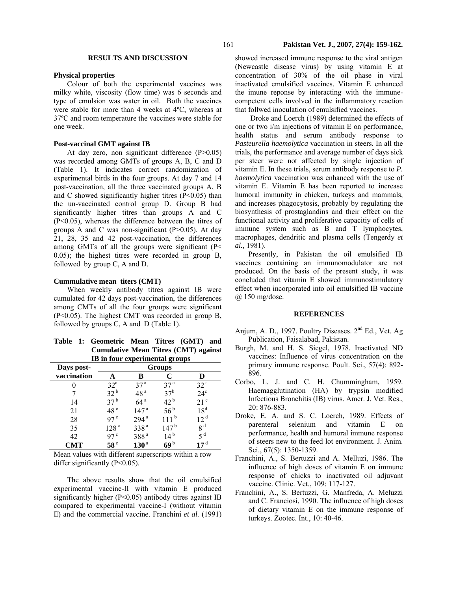## **RESULTS AND DISCUSSION**

### **Physical properties**

Colour of both the experimental vaccines was milky white, viscosity (flow time) was 6 seconds and type of emulsion was water in oil. Both the vaccines were stable for more than 4 weeks at 4ºC, whereas at 37ºC and room temperature the vaccines were stable for one week.

# **Post-vaccinal GMT against IB**

At day zero, non significant difference (P>0.05) was recorded among GMTs of groups A, B, C and D (Table 1). It indicates correct randomization of experimental birds in the four groups. At day 7 and 14 post-vaccination, all the three vaccinated groups A, B and C showed significantly higher titres  $(P<0.05)$  than the un-vaccinated control group D. Group B had significantly higher titres than groups A and C (P<0.05), whereas the difference between the titres of groups A and C was non-significant (P>0.05). At day 21, 28, 35 and 42 post-vaccination, the differences among GMTs of all the groups were significant (P< 0.05); the highest titres were recorded in group B, followed by group C, A and D.

## **Cummulative mean titers (CMT)**

When weekly antibody titres against IB were cumulated for 42 days post-vaccination, the differences among CMTs of all the four groups were significant (P<0.05). The highest CMT was recorded in group B, followed by groups C, A and D (Table 1).

|  | Table 1: Geometric Mean Titres (GMT) and    |  |  |  |
|--|---------------------------------------------|--|--|--|
|  | <b>Cumulative Mean Titres (CMT) against</b> |  |  |  |
|  | IB in four experimental groups              |  |  |  |

|                           | 0<br><b>Groups</b> |                  |                   |                 |  |
|---------------------------|--------------------|------------------|-------------------|-----------------|--|
| Days post-<br>vaccination |                    | в                | C                 | D               |  |
|                           | 32 <sup>a</sup>    | 37 <sup>a</sup>  | 37 <sup>a</sup>   | 32 <sup>a</sup> |  |
|                           | 32 <sup>b</sup>    | 48 <sup>a</sup>  | 37 <sup>b</sup>   | $24^{\circ}$    |  |
| 14                        | 37 <sup>b</sup>    | 64 <sup>a</sup>  | $42^{\mathrm{b}}$ | 21 <sup>c</sup> |  |
| 21                        | 48 <sup>c</sup>    | 147 <sup>a</sup> | 56 <sup>b</sup>   | 18 <sup>d</sup> |  |
| 28                        | 97 <sup>c</sup>    | 294 <sup>a</sup> | 111 <sup>b</sup>  | 12 <sup>d</sup> |  |
| 35                        | 128 <sup>c</sup>   | 338 <sup>a</sup> | 147 <sup>b</sup>  | 8 <sup>d</sup>  |  |
| 42                        | 97 <sup>c</sup>    | 388 <sup>a</sup> | 14 <sup>b</sup>   | 5 <sup>d</sup>  |  |
| <b>CMT</b>                | 58 <sup>c</sup>    | 130 <sup>a</sup> | 69 <sup>b</sup>   | 17 <sup>d</sup> |  |

Mean values with different superscripts within a row differ significantly  $(P<0.05)$ .

The above results show that the oil emulsified experimental vaccine-II with vitamin E produced significantly higher  $(P<0.05)$  antibody titres against IB compared to experimental vaccine-I (without vitamin E) and the commercial vaccine. Franchini *et al.* (1991) showed increased immune response to the viral antigen (Newcastle disease virus) by using vitamin E at concentration of 30% of the oil phase in viral inactivated emulsified vaccines. Vitamin E enhanced the imune reponse by interacting with the immunecompetent cells involved in the inflammatory reaction that follwed inoculation of emulsified vaccines.

Droke and Loerch (1989) determined the effects of one or two i/m injections of vitamin E on performance, health status and serum antibody response to *Pasteurella haemolytica* vaccination in steers. In all the trials, the performance and average number of days sick per steer were not affected by single injection of vitamin E. In these trials, serum antibody response to *P. haemolytica* vaccination was enhanced with the use of vitamin E. Vitamin E has been reported to increase humoral immunity in chicken, turkeys and mammals, and increases phagocytosis, probably by regulating the biosynthesis of prostaglandins and their effect on the functional activity and proliferative capacitiy of cells of immune system such as B and T lymphocytes, macrophages, dendritic and plasma cells (Tengerdy *et al.,* 1981).

Presently, in Pakistan the oil emulsified IB vaccines containing an immunomodulator are not produced. On the basis of the present study, it was concluded that vitamin E showed immunostimulatory effect when incorporated into oil emulsified IB vaccine @ 150 mg/dose.

## **REFERENCES**

- Anjum, A. D., 1997. Poultry Diseases.  $2<sup>nd</sup> Ed.$ , Vet. Ag Publication, Faisalabad, Pakistan.
- Burgh, M. and H. S. Siegel, 1978. Inactivated ND vaccines: Influence of virus concentration on the primary immune response. Poult. Sci., 57(4): 892- 896.
- Corbo, L. J. and C. H. Chummingham, 1959. Haemagglutination (HA) by trypsin modified Infectious Bronchitis (IB) virus. Amer. J. Vet. Res., 20: 876-883.
- Droke, E. A. and S. C. Loerch, 1989. Effects of parenteral selenium and vitamin E on performance, health and humoral immune response of steers new to the feed lot environment. J. Anim. Sci., 67(5): 1350-1359.
- Franchini, A., S. Bertuzzi and A. Melluzi, 1986. The influence of high doses of vitamin E on immune response of chicks to inactivated oil adjuvant vaccine. Clinic. Vet., 109: 117-127.
- Franchini, A., S. Bertuzzi, G. Manfreda, A. Meluzzi and C. Franciosi, 1990. The influence of high doses of dietary vitamin E on the immune response of turkeys. Zootec. Int., 10: 40-46.